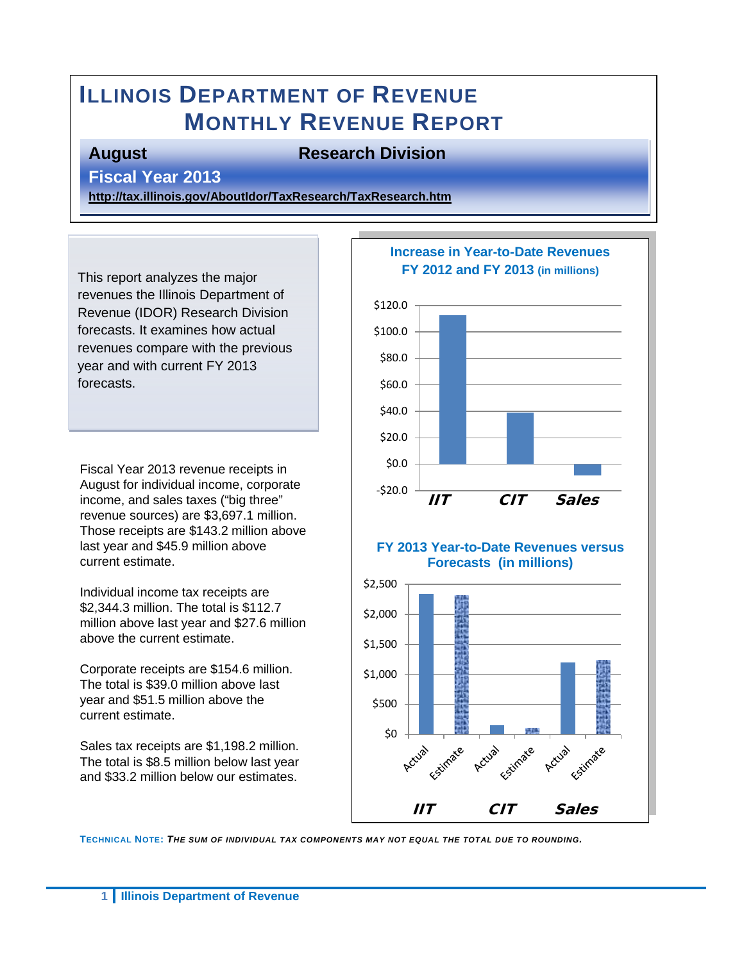# **ILLINOIS DEPARTMENT OF REVENUE MONTHLY REVENUE REPORT**

### **August Research Division**

### **Fiscal Year 2013**

**<http://tax.illinois.gov/AboutIdor/TaxResearch/TaxResearch.htm>**

This report analyzes the major revenues the Illinois Department of Revenue (IDOR) Research Division forecasts. It examines how actual revenues compare with the previous year and with current FY 2013 forecasts.

Fiscal Year 2013 revenue receipts in August for individual income, corporate income, and sales taxes ("big three" revenue sources) are \$3,697.1 million. Those receipts are \$143.2 million above last year and \$45.9 million above current estimate.

Individual income tax receipts are \$2,344.3 million. The total is \$112.7 million above last year and \$27.6 million above the current estimate.

Corporate receipts are \$154.6 million. The total is \$39.0 million above last year and \$51.5 million above the current estimate.

Sales tax receipts are \$1,198.2 million. The total is \$8.5 million below last year and \$33.2 million below our estimates.



**TECHNICAL NOTE:** *THE SUM OF INDIVIDUAL TAX COMPONENTS MAY NOT EQUAL THE TOTAL DUE TO ROUNDING.*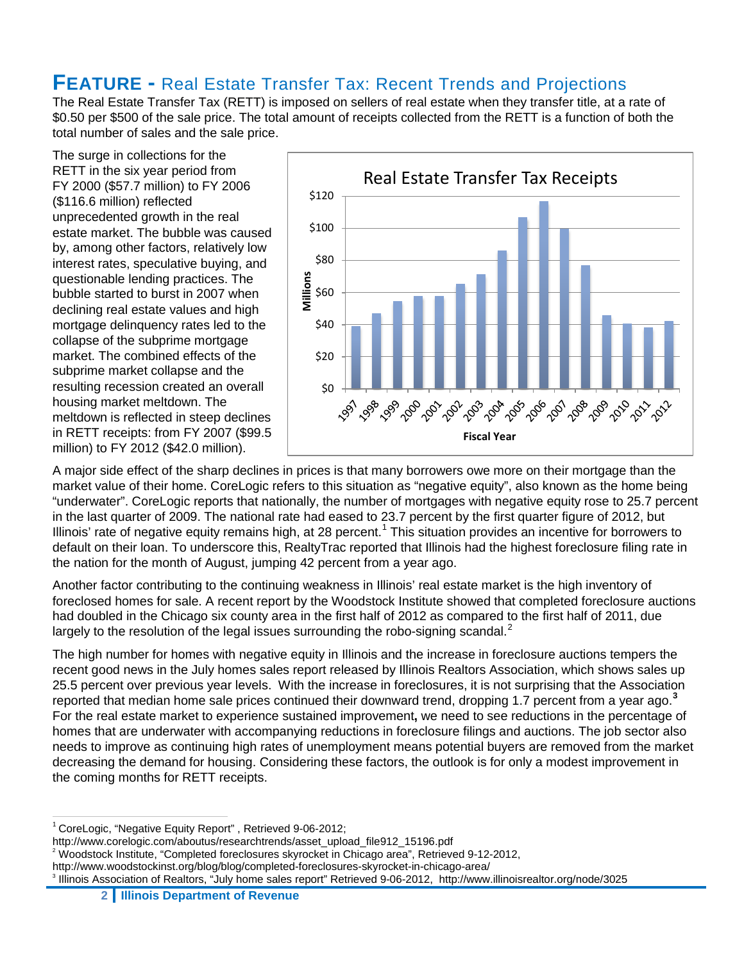### **FEATURE -** Real Estate Transfer Tax: Recent Trends and Projections

The Real Estate Transfer Tax (RETT) is imposed on sellers of real estate when they transfer title, at a rate of \$0.50 per \$500 of the sale price. The total amount of receipts collected from the RETT is a function of both the total number of sales and the sale price.

The surge in collections for the RETT in the six year period from FY 2000 (\$57.7 million) to FY 2006 (\$116.6 million) reflected unprecedented growth in the real estate market. The bubble was caused by, among other factors, relatively low interest rates, speculative buying, and questionable lending practices. The bubble started to burst in 2007 when declining real estate values and high mortgage delinquency rates led to the collapse of the subprime mortgage market. The combined effects of the subprime market collapse and the resulting recession created an overall housing market meltdown. The meltdown is reflected in steep declines in RETT receipts: from FY 2007 (\$99.5 million) to FY 2012 (\$42.0 million).



A major side effect of the sharp declines in prices is that many borrowers owe more on their mortgage than the market value of their home. CoreLogic refers to this situation as "negative equity", also known as the home being "underwater". CoreLogic reports that nationally, the number of mortgages with negative equity rose to 25.7 percent in the last quarter of 2009. The national rate had eased to 23.7 percent by the first quarter figure of 2012, but Illinois' rate of negative equity remains high, at 28 percent.<sup>[1](#page-1-0)</sup> This situation provides an incentive for borrowers to default on their loan. To underscore this, RealtyTrac reported that Illinois had the highest foreclosure filing rate in the nation for the month of August, jumping 42 percent from a year ago.

Another factor contributing to the continuing weakness in Illinois' real estate market is the high inventory of foreclosed homes for sale. A recent report by the Woodstock Institute showed that completed foreclosure auctions had doubled in the Chicago six county area in the first half of 2012 as compared to the first half of 2011, due largely to the resolution of the legal issues surrounding the robo-signing scandal.<sup>[2](#page-1-1)</sup>

The high number for homes with negative equity in Illinois and the increase in foreclosure auctions tempers the recent good news in the July homes sales report released by Illinois Realtors Association, which shows sales up 25.5 percent over previous year levels. With the increase in foreclosures, it is not surprising that the Association reported that median home sale prices continued their downward trend, dropping 1.7 percent from a year ago.**[3](#page-1-2)** For the real estate market to experience sustained improvement**,** we need to see reductions in the percentage of homes that are underwater with accompanying reductions in foreclosure filings and auctions. The job sector also needs to improve as continuing high rates of unemployment means potential buyers are removed from the market decreasing the demand for housing. Considering these factors, the outlook is for only a modest improvement in the coming months for RETT receipts.

<span id="page-1-0"></span><sup>&</sup>lt;sup>1</sup> CoreLogic, "Negative Equity Report", Retrieved 9-06-2012;

http://www.corelogic.com/aboutus/researchtrends/asset\_upload\_file912\_15196.pdf

<sup>2</sup> Woodstock Institute, "Completed foreclosures skyrocket in Chicago area", Retrieved 9-12-2012,

<span id="page-1-2"></span><span id="page-1-1"></span>http://www.woodstockinst.org/blog/blog/completed-foreclosures-skyrocket-in-chicago-area/

<sup>3</sup> Illinois Association of Realtors, "July home sales report" Retrieved 9-06-2012, http://www.illinoisrealtor.org/node/3025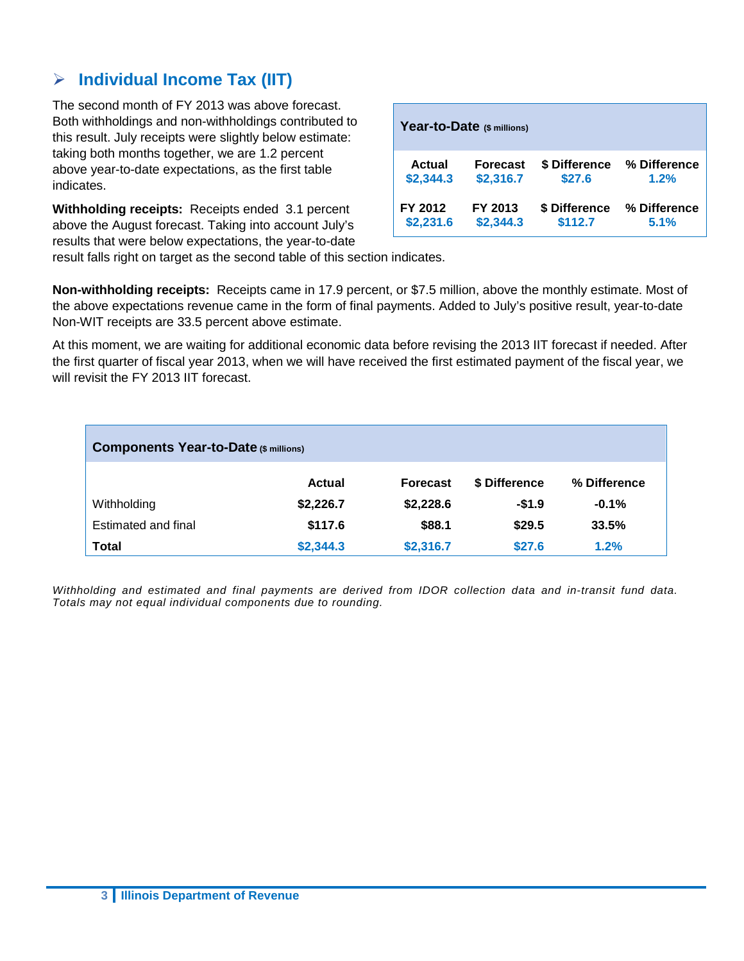### **Individual Income Tax (IIT)**

The second month of FY 2013 was above forecast. Both withholdings and non-withholdings contributed to this result. July receipts were slightly below estimate: taking both months together, we are 1.2 percent above year-to-date expectations, as the first table indicates.

**Withholding receipts:** Receipts ended 3.1 percent above the August forecast. Taking into account July's results that were below expectations, the year-to-date

|               | Year-to-Date (\$ millions) |               |              |
|---------------|----------------------------|---------------|--------------|
| <b>Actual</b> | <b>Forecast</b>            | \$ Difference | % Difference |
| \$2,344.3     | \$2,316.7                  | \$27.6        | 1.2%         |
| FY 2012       | FY 2013                    | \$ Difference | % Difference |
| \$2,231.6     | \$2,344.3                  | \$112.7       | 5.1%         |

result falls right on target as the second table of this section indicates.

**Non-withholding receipts:** Receipts came in 17.9 percent, or \$7.5 million, above the monthly estimate. Most of the above expectations revenue came in the form of final payments. Added to July's positive result, year-to-date Non-WIT receipts are 33.5 percent above estimate.

At this moment, we are waiting for additional economic data before revising the 2013 IIT forecast if needed. After the first quarter of fiscal year 2013, when we will have received the first estimated payment of the fiscal year, we will revisit the FY 2013 IIT forecast.

| <b>Components Year-to-Date (\$ millions)</b> |               |                 |               |              |
|----------------------------------------------|---------------|-----------------|---------------|--------------|
|                                              | <b>Actual</b> | <b>Forecast</b> | \$ Difference | % Difference |
| Withholding                                  | \$2,226.7     | \$2,228.6       | $-$1.9$       | $-0.1%$      |
| Estimated and final                          | \$117.6       | \$88.1          | \$29.5        | 33.5%        |
| <b>Total</b>                                 | \$2,344.3     | \$2,316.7       | \$27.6        | 1.2%         |

*Withholding and estimated and final payments are derived from IDOR collection data and in-transit fund data. Totals may not equal individual components due to rounding.*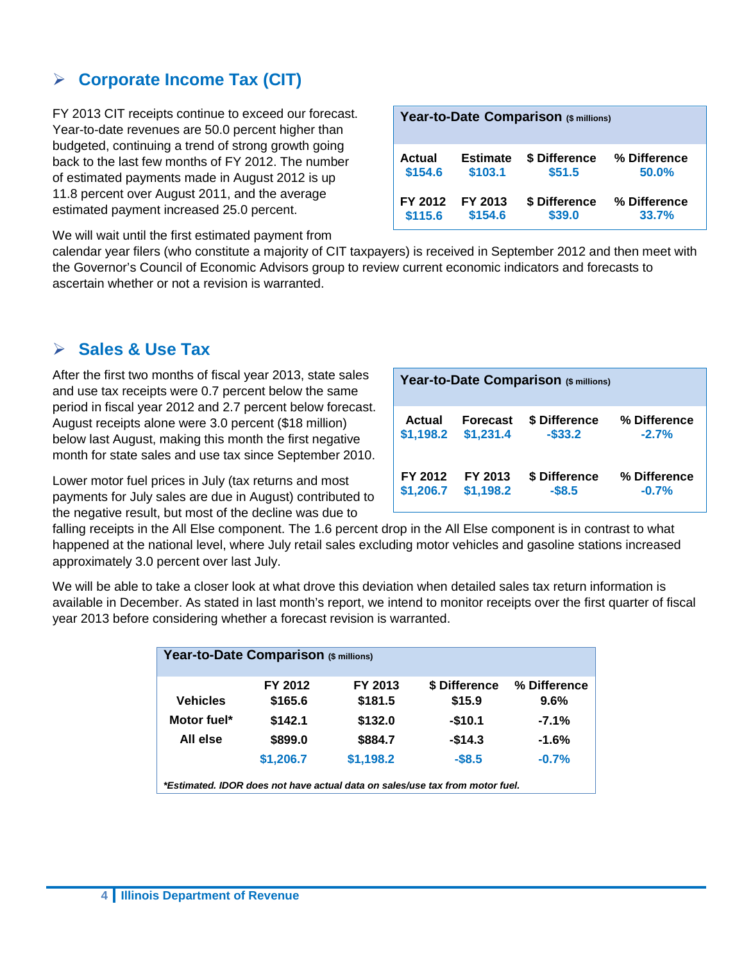### **Corporate Income Tax (CIT)**

FY 2013 CIT receipts continue to exceed our forecast. Year-to-date revenues are 50.0 percent higher than budgeted, continuing a trend of strong growth going back to the last few months of FY 2012. The number of estimated payments made in August 2012 is up 11.8 percent over August 2011, and the average estimated payment increased 25.0 percent.

We will wait until the first estimated payment from

|         |                 | Year-to-Date Comparison (\$ millions) |              |
|---------|-----------------|---------------------------------------|--------------|
| Actual  | <b>Estimate</b> | \$ Difference                         | % Difference |
| \$154.6 | \$103.1         | \$51.5                                | 50.0%        |
| FY 2012 | FY 2013         | \$ Difference                         | % Difference |
| \$115.6 | \$154.6         | \$39.0                                | 33.7%        |

calendar year filers (who constitute a majority of CIT taxpayers) is received in September 2012 and then meet with the Governor's Council of Economic Advisors group to review current economic indicators and forecasts to ascertain whether or not a revision is warranted.

### **Sales & Use Tax**

After the first two months of fiscal year 2013, state sales and use tax receipts were 0.7 percent below the same period in fiscal year 2012 and 2.7 percent below forecast. August receipts alone were 3.0 percent (\$18 million) below last August, making this month the first negative month for state sales and use tax since September 2010.

Lower motor fuel prices in July (tax returns and most payments for July sales are due in August) contributed to the negative result, but most of the decline was due to

|           |                 | Year-to-Date Comparison (\$ millions) |              |
|-----------|-----------------|---------------------------------------|--------------|
| Actual    | <b>Forecast</b> | \$ Difference                         | % Difference |
| \$1,198.2 | \$1,231.4       | $-$33.2$                              | $-2.7%$      |
| FY 2012   | FY 2013         | \$ Difference                         | % Difference |
| \$1,206.7 | \$1,198.2       | $-$8.5$                               | $-0.7%$      |

falling receipts in the All Else component. The 1.6 percent drop in the All Else component is in contrast to what happened at the national level, where July retail sales excluding motor vehicles and gasoline stations increased approximately 3.0 percent over last July.

We will be able to take a closer look at what drove this deviation when detailed sales tax return information is available in December. As stated in last month's report, we intend to monitor receipts over the first quarter of fiscal year 2013 before considering whether a forecast revision is warranted.

| Year-to-Date Comparison (\$ millions) |           |           |                                                                              |              |
|---------------------------------------|-----------|-----------|------------------------------------------------------------------------------|--------------|
|                                       | FY 2012   | FY 2013   | \$ Difference                                                                | % Difference |
| <b>Vehicles</b>                       | \$165.6   | \$181.5   | \$15.9                                                                       | 9.6%         |
| Motor fuel*                           | \$142.1   | \$132.0   | $-$10.1$                                                                     | $-7.1%$      |
| All else                              | \$899.0   | \$884.7   | $-$14.3$                                                                     | $-1.6%$      |
|                                       | \$1,206.7 | \$1,198.2 | $-$8.5$                                                                      | $-0.7%$      |
|                                       |           |           | *Estimated, IDOR does not have actual data on sales/use tax from motor fuel. |              |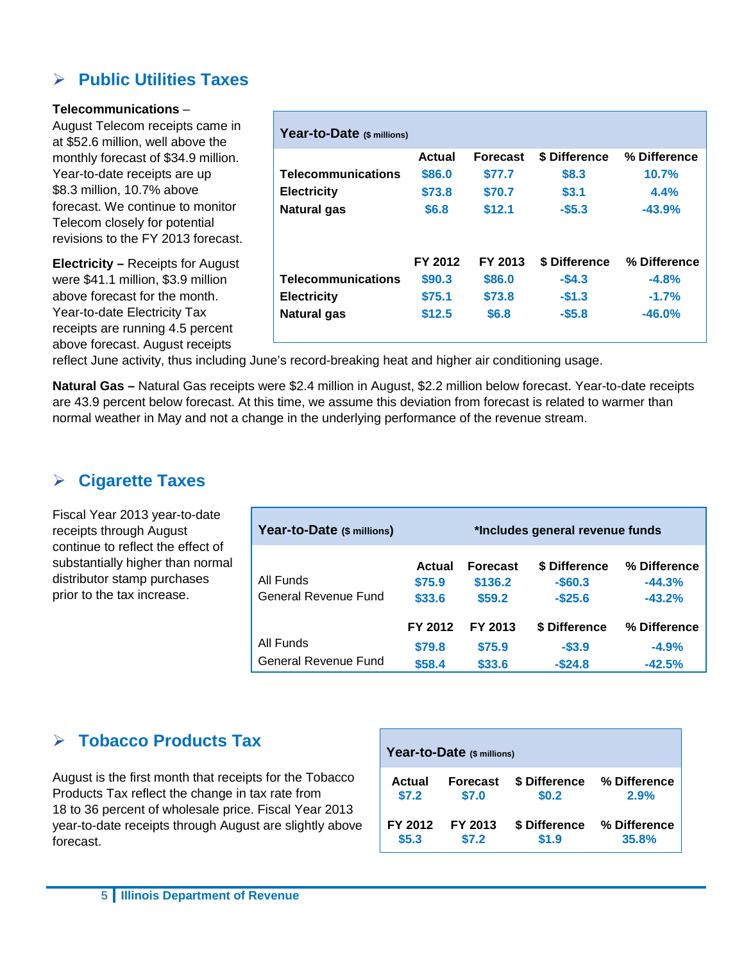### **Public Utilities Taxes**

#### **Telecommunications** –

August Telecom receipts came in at \$52.6 million, well above the monthly forecast of \$34.9 million. Year-to-date receipts are up \$8.3 million, 10.7% above forecast. We continue to monitor Telecom closely for potential revisions to the FY 2013 forecast.

**Electricity –** Receipts for August were \$41.1 million, \$3.9 million above forecast for the month. Year-to-date Electricity Tax receipts are running 4.5 percent above forecast. August receipts

| Year-to-Date (\$ millions) |         |                 |               |              |
|----------------------------|---------|-----------------|---------------|--------------|
|                            | Actual  | <b>Forecast</b> | \$ Difference | % Difference |
| <b>Telecommunications</b>  | \$86.0  | \$77.7          | \$8.3         | 10.7%        |
| <b>Electricity</b>         | \$73.8  | \$70.7          | \$3.1         | 4.4%         |
| Natural gas                | \$6.8   | \$12.1          | $-$ \$5.3     | $-43.9%$     |
|                            | FY 2012 | FY 2013         | \$ Difference | % Difference |
| <b>Telecommunications</b>  | \$90.3  | \$86.0          | $-$4.3$       | $-4.8%$      |
| <b>Electricity</b>         | \$75.1  | \$73.8          | $-$1.3$       | $-1.7%$      |
| <b>Natural gas</b>         | \$12.5  | \$6.8           | $-$ \$5.8     | $-46.0%$     |

reflect June activity, thus including June's record-breaking heat and higher air conditioning usage.

**Natural Gas –** Natural Gas receipts were \$2.4 million in August, \$2.2 million below forecast. Year-to-date receipts are 43.9 percent below forecast. At this time, we assume this deviation from forecast is related to warmer than normal weather in May and not a change in the underlying performance of the revenue stream.

### **Cigarette Taxes**

Fiscal Year 2013 year-to-date receipts through August continue to reflect the effect of substantially higher than normal distributor stamp purchases prior to the tax increase.

| Year-to-Date (\$ millions)        |                             |                                      | *Includes general revenue funds           |                                      |
|-----------------------------------|-----------------------------|--------------------------------------|-------------------------------------------|--------------------------------------|
| All Funds<br>General Revenue Fund | Actual<br>\$75.9<br>\$33.6  | <b>Forecast</b><br>\$136.2<br>\$59.2 | \$ Difference<br>$-$ \$60.3<br>$-$ \$25.6 | % Difference<br>$-44.3%$<br>$-43.2%$ |
| All Funds<br>General Revenue Fund | FY 2012<br>\$79.8<br>\$58.4 | FY 2013<br>\$75.9<br>\$33.6          | \$ Difference<br>$-$3.9$<br>$-$ \$24.8    | % Difference<br>$-4.9%$<br>$-42.5%$  |

### **Tobacco Products Tax**

August is the first month that receipts for the Tobacco Products Tax reflect the change in tax rate from 18 to 36 percent of wholesale price. Fiscal Year 2013 year-to-date receipts through August are slightly above forecast.

|         | Year-to-Date (\$ millions) |               |              |
|---------|----------------------------|---------------|--------------|
| Actual  | <b>Forecast</b>            | \$ Difference | % Difference |
| \$7.2   | \$7.0                      | \$0.2         | 2.9%         |
| FY 2012 | FY 2013                    | \$ Difference | % Difference |
| \$5.3   | \$7.2                      | \$1.9         | 35.8%        |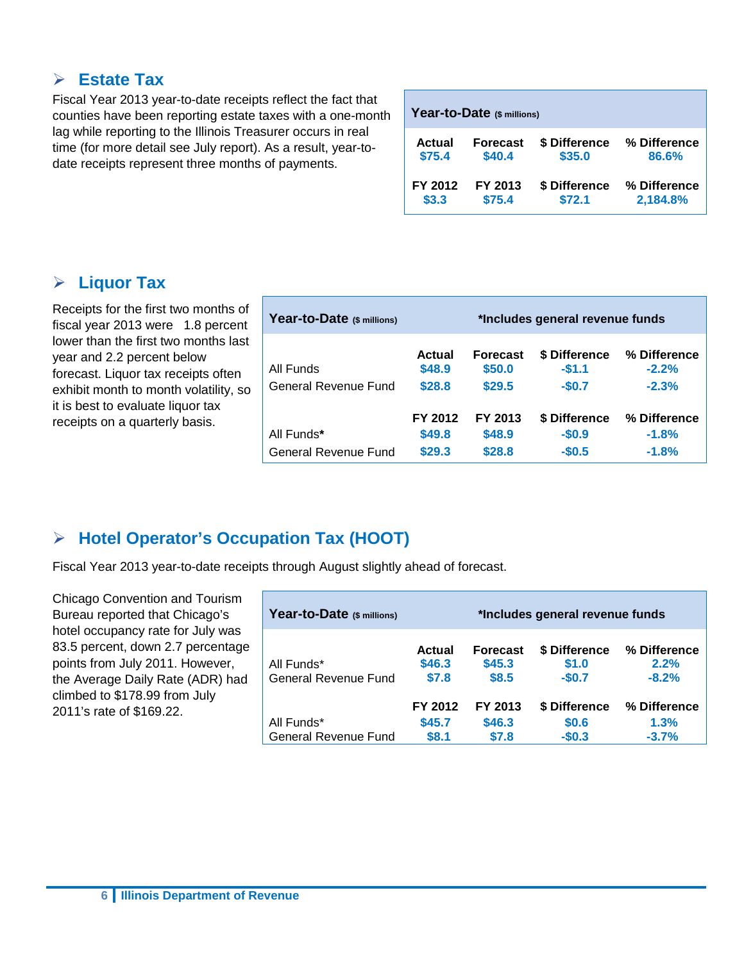### **Estate Tax**

Fiscal Year 2013 year-to-date receipts reflect the fact that counties have been reporting estate taxes with a one-month lag while reporting to the Illinois Treasurer occurs in real time (for more detail see July report). As a result, year-todate receipts represent three months of payments.

|         | Year-to-Date (\$ millions) |               |              |
|---------|----------------------------|---------------|--------------|
| Actual  | <b>Forecast</b>            | \$ Difference | % Difference |
| \$75.4  | \$40.4                     | \$35.0        | 86.6%        |
| FY 2012 | FY 2013                    | \$ Difference | % Difference |
| \$3.3   | \$75.4                     | \$72.1        | 2,184.8%     |

### **Liquor Tax**

Receipts for the first two months of fiscal year 2013 were 1.8 percent lower than the first two months last year and 2.2 percent below forecast. Liquor tax receipts often exhibit month to month volatility, so it is best to evaluate liquor tax receipts on a quarterly basis.

| Year-to-Date (\$ millions) |                   |                           | *Includes general revenue funds |                         |
|----------------------------|-------------------|---------------------------|---------------------------------|-------------------------|
| All Funds                  | Actual<br>\$48.9  | <b>Forecast</b><br>\$50.0 | \$ Difference<br>$-$1.1$        | % Difference<br>$-2.2%$ |
| General Revenue Fund       | \$28.8            | \$29.5                    | $-$0.7$                         | $-2.3%$                 |
| All Funds*                 | FY 2012<br>\$49.8 | FY 2013<br>\$48.9         | \$ Difference<br>$-$0.9$        | % Difference<br>$-1.8%$ |
| General Revenue Fund       | \$29.3            | \$28.8                    | $-$0.5$                         | $-1.8%$                 |

## **Hotel Operator's Occupation Tax (HOOT)**

Fiscal Year 2013 year-to-date receipts through August slightly ahead of forecast.

Chicago Convention and Tourism Bureau reported that Chicago's hotel occupancy rate for July was 83.5 percent, down 2.7 percentage points from July 2011. However, the Average Daily Rate (ADR) had climbed to \$178.99 from July 2011's rate of \$169.22.

| Year-to-Date (\$ millions)         |                           |                                    | *Includes general revenue funds   |                                 |
|------------------------------------|---------------------------|------------------------------------|-----------------------------------|---------------------------------|
| All Funds*<br>General Revenue Fund | Actual<br>\$46.3<br>\$7.8 | <b>Forecast</b><br>\$45.3<br>\$8.5 | \$ Difference<br>\$1.0<br>$-$0.7$ | % Difference<br>2.2%<br>$-8.2%$ |
| All Funds*                         | FY 2012<br>\$45.7         | FY 2013<br>\$46.3                  | \$ Difference<br>\$0.6            | % Difference<br>1.3%            |
| <b>General Revenue Fund</b>        | \$8.1                     | \$7.8                              | $-$0.3$                           | $-3.7%$                         |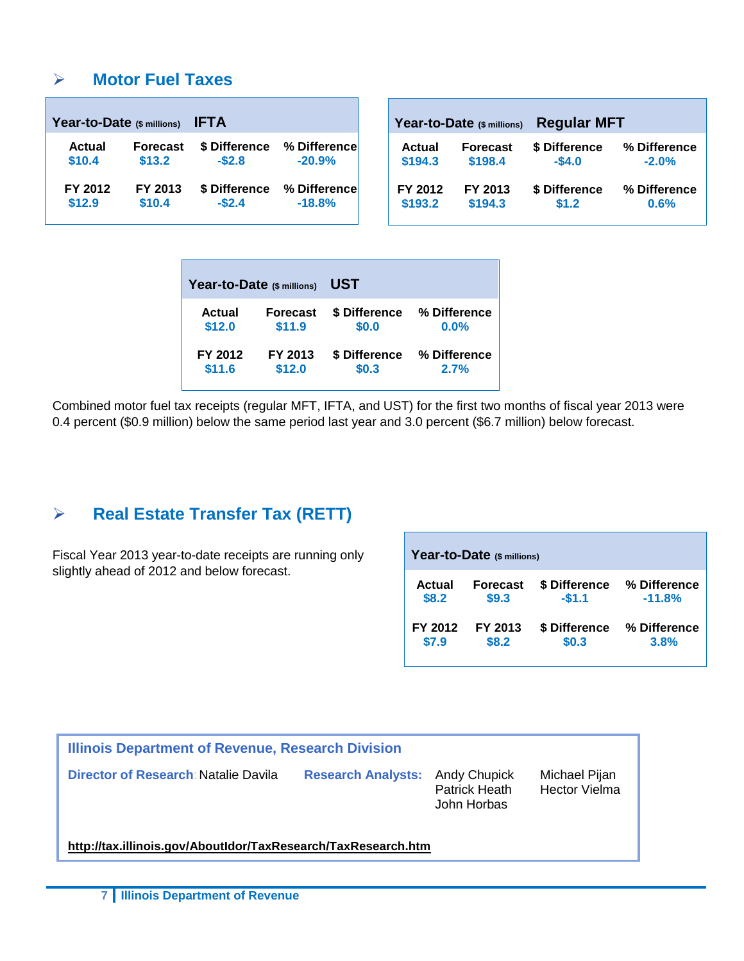### **Motor Fuel Taxes**

| Year-to-Date (\$ millions) |                 | <b>IFTA</b>   |              |
|----------------------------|-----------------|---------------|--------------|
| <b>Actual</b>              | <b>Forecast</b> | \$ Difference | % Difference |
| \$10.4                     | \$13.2          | $-$2.8$       | $-20.9%$     |
| FY 2012                    | FY 2013         | \$ Difference | % Difference |
| \$12.9                     | \$10.4          | $-$2.4$       | $-18.8%$     |

|         | Year-to-Date (\$ millions) | <b>Regular MFT</b> |              |  |  |  |  |
|---------|----------------------------|--------------------|--------------|--|--|--|--|
| Actual  | <b>Forecast</b>            | \$ Difference      | % Difference |  |  |  |  |
| \$194.3 | \$198.4                    | $-$4.0$            | $-2.0%$      |  |  |  |  |
| FY 2012 | FY 2013                    | \$ Difference      | % Difference |  |  |  |  |
| \$193.2 | \$194.3                    | \$1.2              | 0.6%         |  |  |  |  |

| Year-to-Date (\$ millions) |                 | UST           |              |
|----------------------------|-----------------|---------------|--------------|
| Actual                     | <b>Forecast</b> | \$ Difference | % Difference |
| \$12.0                     | \$11.9          | \$0.0         | 0.0%         |
| FY 2012                    | FY 2013         | \$ Difference | % Difference |
| \$11.6                     | \$12.0          | \$0.3         | 2.7%         |

Combined motor fuel tax receipts (regular MFT, IFTA, and UST) for the first two months of fiscal year 2013 were 0.4 percent (\$0.9 million) below the same period last year and 3.0 percent (\$6.7 million) below forecast.

### **Real Estate Transfer Tax (RETT)**

Fiscal Year 2013 year-to-date receipts are running only slightly ahead of 2012 and below forecast.

| Year-to-Date (\$ millions) |                 |               |              |  |  |  |  |  |
|----------------------------|-----------------|---------------|--------------|--|--|--|--|--|
| Actual                     | <b>Forecast</b> | \$ Difference | % Difference |  |  |  |  |  |
| \$8.2                      | \$9.3           | $-$1.1$       | $-11.8%$     |  |  |  |  |  |
| FY 2012                    | FY 2013         | \$ Difference | % Difference |  |  |  |  |  |
| \$7.9                      | \$8.2           | \$0.3         | 3.8%         |  |  |  |  |  |

| <b>Illinois Department of Revenue, Research Division</b>      |                                                                        |                                       |  |  |  |  |  |  |  |
|---------------------------------------------------------------|------------------------------------------------------------------------|---------------------------------------|--|--|--|--|--|--|--|
| Director of Research: Natalie Davila                          | <b>Research Analysts: Andy Chupick</b><br>Patrick Heath<br>John Horbas | Michael Pijan<br><b>Hector Vielma</b> |  |  |  |  |  |  |  |
| http://tax.illinois.gov/AboutIdor/TaxResearch/TaxResearch.htm |                                                                        |                                       |  |  |  |  |  |  |  |